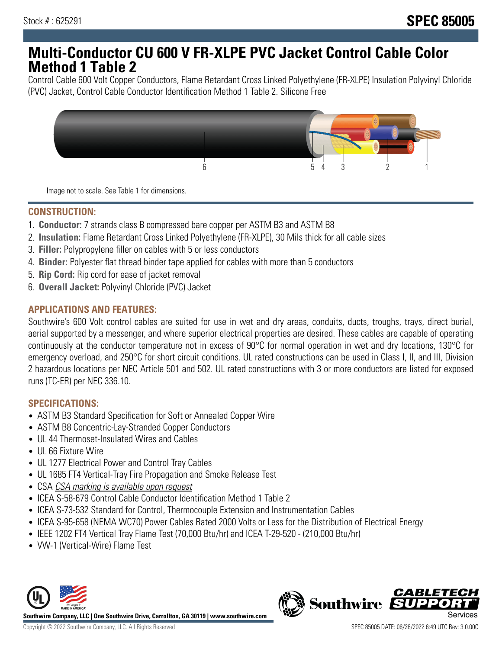# **Multi-Conductor CU 600 V FR-XLPE PVC Jacket Control Cable Color Method 1 Table 2**

Control Cable 600 Volt Copper Conductors, Flame Retardant Cross Linked Polyethylene (FR-XLPE) Insulation Polyvinyl Chloride (PVC) Jacket, Control Cable Conductor Identification Method 1 Table 2. Silicone Free



Image not to scale. See Table 1 for dimensions.

## **CONSTRUCTION:**

- 1. **Conductor:** 7 strands class B compressed bare copper per ASTM B3 and ASTM B8
- 2. **Insulation:** Flame Retardant Cross Linked Polyethylene (FR-XLPE), 30 Mils thick for all cable sizes
- 3. **Filler:** Polypropylene filler on cables with 5 or less conductors
- 4. **Binder:** Polyester flat thread binder tape applied for cables with more than 5 conductors
- 5. **Rip Cord:** Rip cord for ease of jacket removal
- 6. **Overall Jacket:** Polyvinyl Chloride (PVC) Jacket

### **APPLICATIONS AND FEATURES:**

Southwire's 600 Volt control cables are suited for use in wet and dry areas, conduits, ducts, troughs, trays, direct burial, aerial supported by a messenger, and where superior electrical properties are desired. These cables are capable of operating continuously at the conductor temperature not in excess of 90°C for normal operation in wet and dry locations, 130°C for emergency overload, and 250°C for short circuit conditions. UL rated constructions can be used in Class I, II, and III, Division 2 hazardous locations per NEC Article 501 and 502. UL rated constructions with 3 or more conductors are listed for exposed runs (TC-ER) per NEC 336.10.

### **SPECIFICATIONS:**

- ASTM B3 Standard Specification for Soft or Annealed Copper Wire
- ASTM B8 Concentric-Lay-Stranded Copper Conductors
- UL 44 Thermoset-Insulated Wires and Cables
- UL 66 Fixture Wire
- UL 1277 Electrical Power and Control Tray Cables
- UL 1685 FT4 Vertical-Tray Fire Propagation and Smoke Release Test
- CSA CSA marking is available upon request
- ICEA S-58-679 Control Cable Conductor Identification Method 1 Table 2
- ICEA S-73-532 Standard for Control, Thermocouple Extension and Instrumentation Cables
- ICEA S-95-658 (NEMA WC70) Power Cables Rated 2000 Volts or Less for the Distribution of Electrical Energy
- IEEE 1202 FT4 Vertical Tray Flame Test (70,000 Btu/hr) and ICEA T-29-520 (210,000 Btu/hr)
- VW-1 (Vertical-Wire) Flame Test



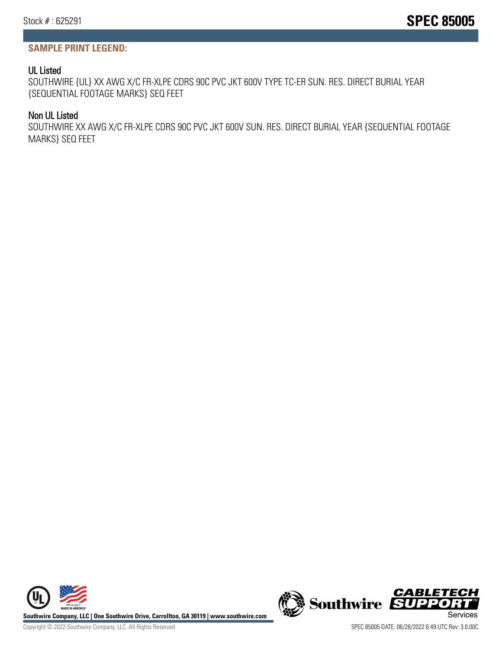## **SAMPLE PRINT LEGEND:**

## UL Listed

SOUTHWIRE {UL} XX AWG X/C FR-XLPE CDRS 90C PVC JKT 600V TYPE TC-ER SUN. RES. DIRECT BURIAL YEAR {SEQUENTIAL FOOTAGE MARKS} SEQ FEET

## Non UL Listed

SOUTHWIRE XX AWG X/C FR-XLPE CDRS 90C PVC JKT 600V SUN. RES. DIRECT BURIAL YEAR {SEQUENTIAL FOOTAGE MARKS} SEQ FEET